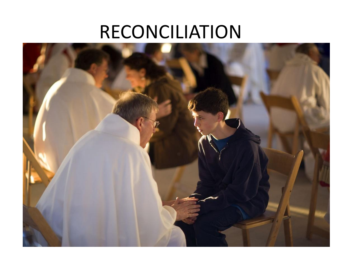#### [RECONCILIATION](http://www.google.com/url?sa=i&rct=j&q=&esrc=s&source=images&cd=&cad=rja&uact=8&ved=0ahUKEwirn6uz6LDTAhXqy4MKHSlQAgcQjRwIBw&url=http://penance-and-sin-101.weebly.com/the-seven-steps-involved-in-the-rite-of-reconciliation.html&psig=AFQjCNHLHStvRrMsN4XOtI8zyeAHrikjCA&ust=1492701451831777)

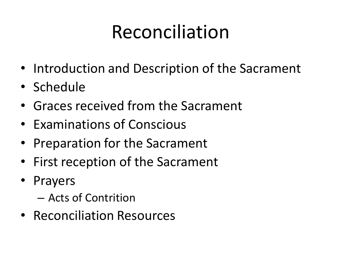- Introduction and Description of the Sacrament
- Schedule
- Graces received from the Sacrament
- Examinations of Conscious
- Preparation for the Sacrament
- First reception of the Sacrament
- **Prayers** 
	- Acts of Contrition
- Reconciliation Resources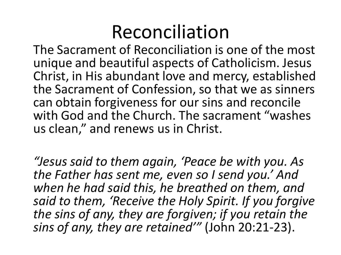The Sacrament of Reconciliation is one of the most unique and beautiful aspects of Catholicism. Jesus Christ, in His abundant love and mercy, established the Sacrament of Confession, so that we as sinners can obtain forgiveness for our sins and reconcile with God and the Church. The sacrament "washes us clean," and renews us in Christ.

*"Jesus said to them again, 'Peace be with you. As the Father has sent me, even so I send you.' And when he had said this, he breathed on them, and said to them, 'Receive the Holy Spirit. If you forgive the sins of any, they are forgiven; if you retain the sins of any, they are retained'"* (John 20:21-23).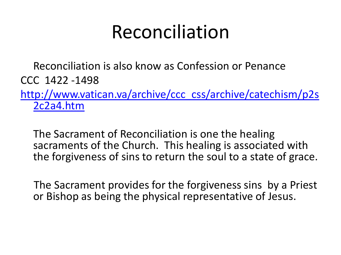Reconciliation is also know as Confession or Penance CCC 1422 -1498

[http://www.vatican.va/archive/ccc\\_css/archive/catechism/p2s](http://www.vatican.va/archive/ccc_css/archive/catechism/p2s2c2a4.htm) [2c2a4.htm](http://www.vatican.va/archive/ccc_css/archive/catechism/p2s2c2a4.htm)

The Sacrament of Reconciliation is one the healing sacraments of the Church. This healing is associated with the forgiveness of sins to return the soul to a state of grace.

 The Sacrament provides for the forgiveness sins by a Priest or Bishop as being the physical representative of Jesus.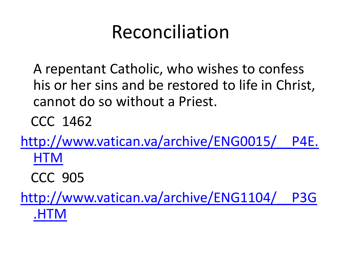A repentant Catholic, who wishes to confess his or her sins and be restored to life in Christ, cannot do so without a Priest.

CCC 1462

[http://www.vatican.va/archive/ENG0015/\\_\\_P4E.](http://www.vatican.va/archive/ENG0015/__P4E.HTM) **[HTM](http://www.vatican.va/archive/ENG0015/__P4E.HTM)** 

CCC 905

[http://www.vatican.va/archive/ENG1104/\\_\\_P3G](http://www.vatican.va/archive/ENG1104/__P3G.HTM) [.HTM](http://www.vatican.va/archive/ENG1104/__P3G.HTM)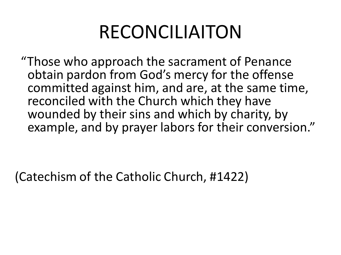## RECONCILIAITON

 "Those who approach the sacrament of Penance obtain pardon from God's mercy for the offense committed against him, and are, at the same time, reconciled with the Church which they have wounded by their sins and which by charity, by example, and by prayer labors for their conversion."

(Catechism of the Catholic Church, #1422)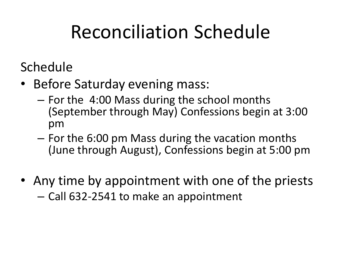# Reconciliation Schedule

Schedule

- Before Saturday evening mass:
	- For the 4:00 Mass during the school months (September through May) Confessions begin at 3:00 pm
	- For the 6:00 pm Mass during the vacation months (June through August), Confessions begin at 5:00 pm
- Any time by appointment with one of the priests – Call 632-2541 to make an appointment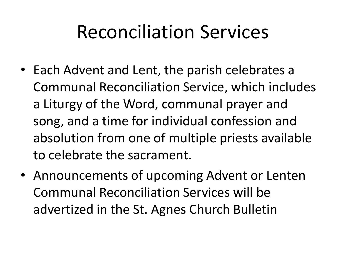## Reconciliation Services

- Each Advent and Lent, the parish celebrates a Communal Reconciliation Service, which includes a Liturgy of the Word, communal prayer and song, and a time for individual confession and absolution from one of multiple priests available to celebrate the sacrament.
- Announcements of upcoming Advent or Lenten Communal Reconciliation Services will be advertized in the St. Agnes Church Bulletin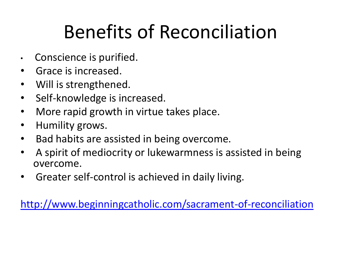# Benefits of Reconciliation

- Conscience is purified.
- Grace is increased.
- Will is strengthened.
- Self-knowledge is increased.
- More rapid growth in virtue takes place.
- Humility grows.
- Bad habits are assisted in being overcome.
- A spirit of mediocrity or lukewarmness is assisted in being overcome.
- Greater self-control is achieved in daily living.

<http://www.beginningcatholic.com/sacrament-of-reconciliation>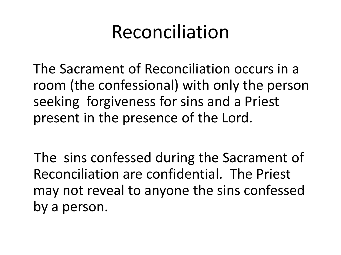The Sacrament of Reconciliation occurs in a room (the confessional) with only the person seeking forgiveness for sins and a Priest present in the presence of the Lord.

 The sins confessed during the Sacrament of Reconciliation are confidential. The Priest may not reveal to anyone the sins confessed by a person.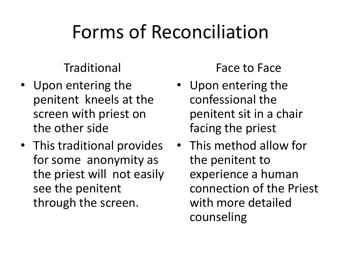# Forms of Reconciliation

#### Traditional

- Upon entering the penitent kneels at the screen with priest on the other side
- This traditional provides for some anonymity as the priest will not easily see the penitent through the screen.

Face to Face

- Upon entering the confessional the penitent sit in a chair facing the priest
- This method allow for the penitent to experience a human connection of the Priest with more detailed counseling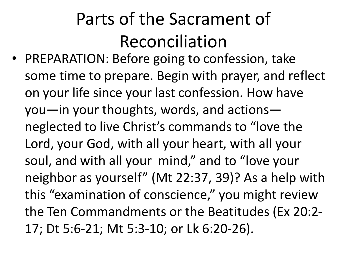• PREPARATION: Before going to confession, take some time to prepare. Begin with prayer, and reflect on your life since your last confession. How have you—in your thoughts, words, and actions neglected to live Christ's commands to "love the Lord, your God, with all your heart, with all your soul, and with all your mind," and to "love your neighbor as yourself" (Mt 22:37, 39)? As a help with this "examination of conscience," you might review the Ten Commandments or the Beatitudes (Ex 20:2- 17; Dt 5:6-21; Mt 5:3-10; or Lk 6:20-26).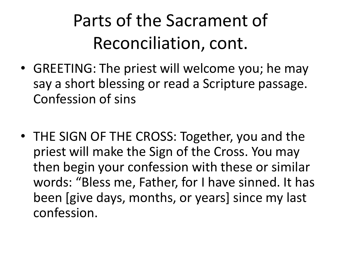- GREETING: The priest will welcome you; he may say a short blessing or read a Scripture passage. Confession of sins
- THE SIGN OF THE CROSS: Together, you and the priest will make the Sign of the Cross. You may then begin your confession with these or similar words: "Bless me, Father, for I have sinned. It has been [give days, months, or years] since my last confession.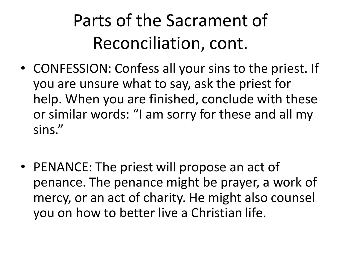- CONFESSION: Confess all your sins to the priest. If you are unsure what to say, ask the priest for help. When you are finished, conclude with these or similar words: "I am sorry for these and all my sins."
- PENANCE: The priest will propose an act of penance. The penance might be prayer, a work of mercy, or an act of charity. He might also counsel you on how to better live a Christian life.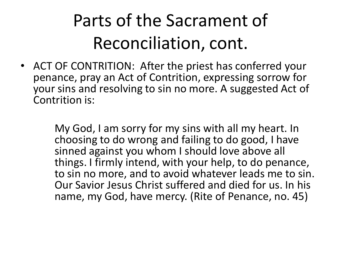• ACT OF CONTRITION: After the priest has conferred your penance, pray an Act of Contrition, expressing sorrow for your sins and resolving to sin no more. A suggested Act of Contrition is:

> My God, I am sorry for my sins with all my heart. In choosing to do wrong and failing to do good, I have sinned against you whom I should love above all things. I firmly intend, with your help, to do penance, to sin no more, and to avoid whatever leads me to sin. Our Savior Jesus Christ suffered and died for us. In his name, my God, have mercy. (Rite of Penance, no. 45)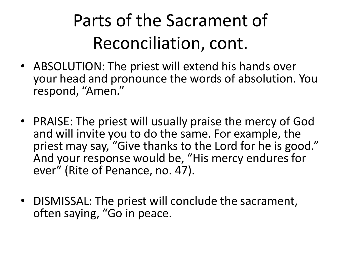- ABSOLUTION: The priest will extend his hands over your head and pronounce the words of absolution. You respond, "Amen."
- PRAISE: The priest will usually praise the mercy of God and will invite you to do the same. For example, the priest may say, "Give thanks to the Lord for he is good." And your response would be, "His mercy endures for ever" (Rite of Penance, no. 47).
- DISMISSAL: The priest will conclude the sacrament, often saying, "Go in peace.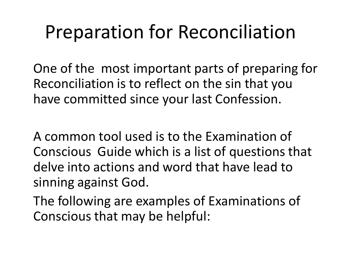## Preparation for Reconciliation

One of the most important parts of preparing for Reconciliation is to reflect on the sin that you have committed since your last Confession.

A common tool used is to the Examination of Conscious Guide which is a list of questions that delve into actions and word that have lead to sinning against God.

The following are examples of Examinations of Conscious that may be helpful: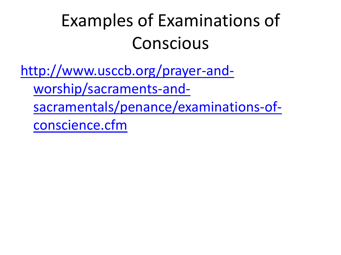#### Examples of Examinations of Conscious

[http://www.usccb.org/prayer-and-](http://www.usccb.org/prayer-and-worship/sacraments-and-sacramentals/penance/examinations-of-conscience.cfm)

[worship/sacraments-and-](http://www.usccb.org/prayer-and-worship/sacraments-and-sacramentals/penance/examinations-of-conscience.cfm)

[sacramentals/penance/examinations-of-](http://www.usccb.org/prayer-and-worship/sacraments-and-sacramentals/penance/examinations-of-conscience.cfm)

[conscience.cfm](http://www.usccb.org/prayer-and-worship/sacraments-and-sacramentals/penance/examinations-of-conscience.cfm)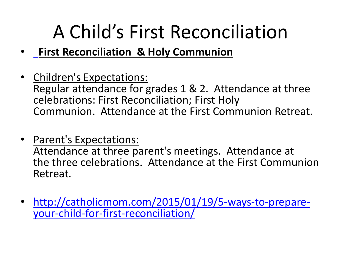## A Child's First Reconciliation

- •**First Reconciliation & Holy Communion**
- Children's Expectations: Regular attendance for grades 1 & 2. Attendance at three celebrations: First Reconciliation; First Holy Communion. Attendance at the First Communion Retreat.
- Parent's Expectations:

Attendance at three parent's meetings. Attendance at the three celebrations. Attendance at the First Communion Retreat.

• [http://catholicmom.com/2015/01/19/5-ways-to-prepare](http://catholicmom.com/2015/01/19/5-ways-to-prepare-your-child-for-first-reconciliation/)[your-child-for-first-reconciliation/](http://catholicmom.com/2015/01/19/5-ways-to-prepare-your-child-for-first-reconciliation/)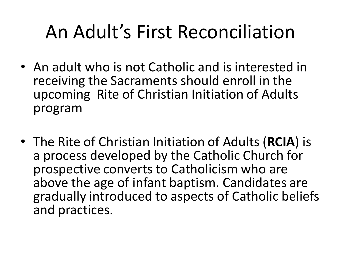# An Adult's First Reconciliation

- An adult who is not Catholic and is interested in receiving the Sacraments should enroll in the upcoming Rite of Christian Initiation of Adults program
- The Rite of Christian Initiation of Adults (**RCIA**) is a process developed by the Catholic Church for prospective converts to Catholicism who are above the age of infant baptism. Candidates are gradually introduced to aspects of Catholic beliefs and practices.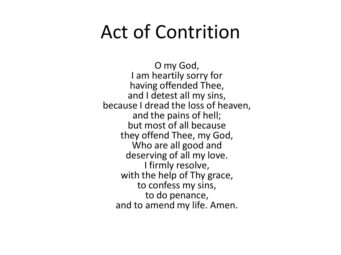#### Act of Contrition

O my God, I am heartily sorry for having offended Thee, and I detest all my sins, because I dread the loss of heaven, and the pains of hell; but most of all because they offend Thee, my God, Who are all good and deserving of all my love. I firmly resolve, with the help of Thy grace, to confess my sins, to do penance, and to amend my life. Amen.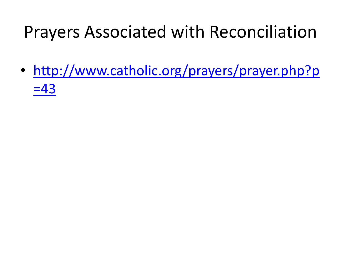#### Prayers Associated with Reconciliation

• [http://www.catholic.org/prayers/prayer.php?p](http://www.catholic.org/prayers/prayer.php?p=43)  $=43$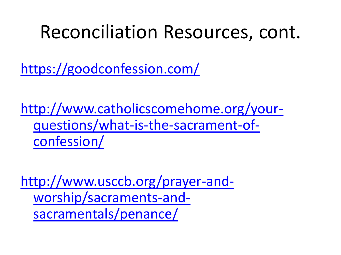#### Reconciliation Resources, cont.

<https://goodconfession.com/>

[http://www.catholicscomehome.org/your](http://www.catholicscomehome.org/your-questions/what-is-the-sacrament-of-confession/)[questions/what-is-the-sacrament-of](http://www.catholicscomehome.org/your-questions/what-is-the-sacrament-of-confession/)[confession/](http://www.catholicscomehome.org/your-questions/what-is-the-sacrament-of-confession/)

[http://www.usccb.org/prayer-and](http://www.usccb.org/prayer-and-worship/sacraments-and-sacramentals/penance/)[worship/sacraments-and](http://www.usccb.org/prayer-and-worship/sacraments-and-sacramentals/penance/)[sacramentals/penance/](http://www.usccb.org/prayer-and-worship/sacraments-and-sacramentals/penance/)